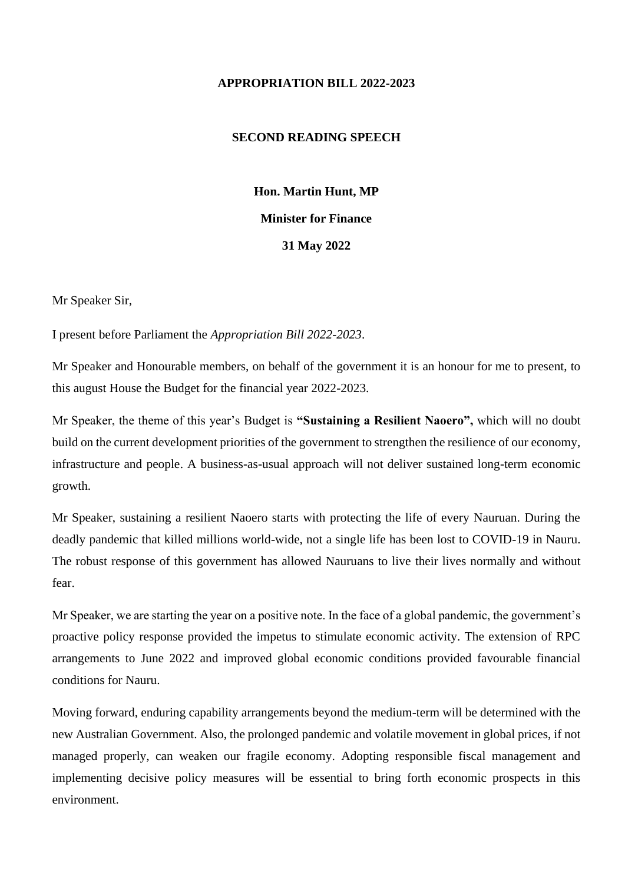## **APPROPRIATION BILL 2022-2023**

## **SECOND READING SPEECH**

**Hon. Martin Hunt, MP Minister for Finance 31 May 2022**

Mr Speaker Sir,

I present before Parliament the *Appropriation Bill 2022-2023*.

Mr Speaker and Honourable members, on behalf of the government it is an honour for me to present, to this august House the Budget for the financial year 2022-2023.

Mr Speaker, the theme of this year's Budget is **"Sustaining a Resilient Naoero",** which will no doubt build on the current development priorities of the government to strengthen the resilience of our economy, infrastructure and people. A business-as-usual approach will not deliver sustained long-term economic growth.

Mr Speaker, sustaining a resilient Naoero starts with protecting the life of every Nauruan. During the deadly pandemic that killed millions world-wide, not a single life has been lost to COVID-19 in Nauru. The robust response of this government has allowed Nauruans to live their lives normally and without fear.

Mr Speaker, we are starting the year on a positive note. In the face of a global pandemic, the government's proactive policy response provided the impetus to stimulate economic activity. The extension of RPC arrangements to June 2022 and improved global economic conditions provided favourable financial conditions for Nauru.

Moving forward, enduring capability arrangements beyond the medium-term will be determined with the new Australian Government. Also, the prolonged pandemic and volatile movement in global prices, if not managed properly, can weaken our fragile economy. Adopting responsible fiscal management and implementing decisive policy measures will be essential to bring forth economic prospects in this environment.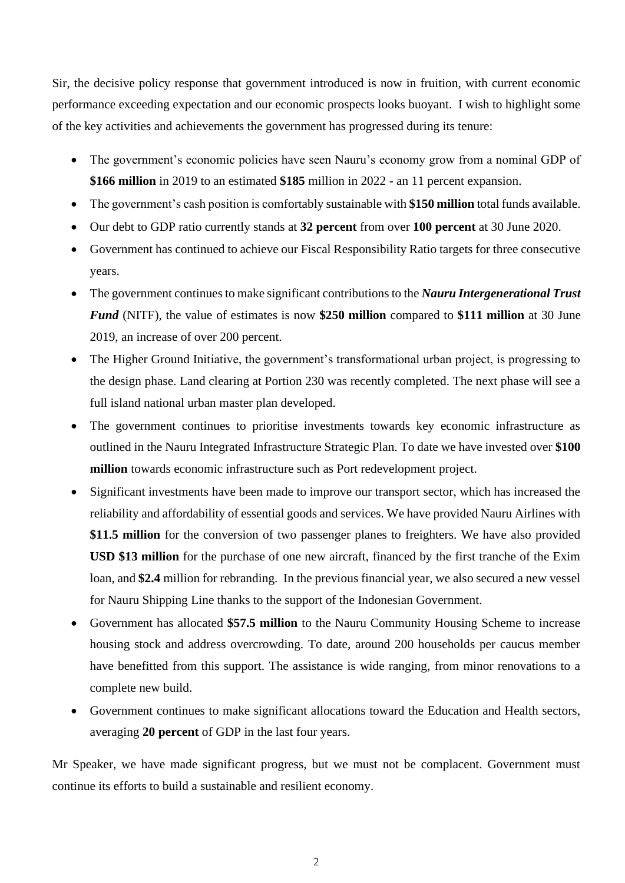Sir, the decisive policy response that government introduced is now in fruition, with current economic performance exceeding expectation and our economic prospects looks buoyant. I wish to highlight some of the key activities and achievements the government has progressed during its tenure:

- The government's economic policies have seen Nauru's economy grow from a nominal GDP of **\$166 million** in 2019 to an estimated **\$185** million in 2022 - an 11 percent expansion.
- The government's cash position is comfortably sustainable with **\$150 million** total funds available.
- Our debt to GDP ratio currently stands at **32 percent** from over **100 percent** at 30 June 2020.
- Government has continued to achieve our Fiscal Responsibility Ratio targets for three consecutive years.
- The government continues to make significant contributions to the *Nauru Intergenerational Trust Fund* (NITF), the value of estimates is now **\$250 million** compared to **\$111 million** at 30 June 2019, an increase of over 200 percent.
- The Higher Ground Initiative, the government's transformational urban project, is progressing to the design phase. Land clearing at Portion 230 was recently completed. The next phase will see a full island national urban master plan developed.
- The government continues to prioritise investments towards key economic infrastructure as outlined in the Nauru Integrated Infrastructure Strategic Plan. To date we have invested over **\$100 million** towards economic infrastructure such as Port redevelopment project.
- Significant investments have been made to improve our transport sector, which has increased the reliability and affordability of essential goods and services. We have provided Nauru Airlines with **\$11.5 million** for the conversion of two passenger planes to freighters. We have also provided **USD \$13 million** for the purchase of one new aircraft, financed by the first tranche of the Exim loan, and **\$2.4** million for rebranding. In the previous financial year, we also secured a new vessel for Nauru Shipping Line thanks to the support of the Indonesian Government.
- Government has allocated **\$57.5 million** to the Nauru Community Housing Scheme to increase housing stock and address overcrowding. To date, around 200 households per caucus member have benefitted from this support. The assistance is wide ranging, from minor renovations to a complete new build.
- Government continues to make significant allocations toward the Education and Health sectors, averaging **20 percent** of GDP in the last four years.

Mr Speaker, we have made significant progress, but we must not be complacent. Government must continue its efforts to build a sustainable and resilient economy.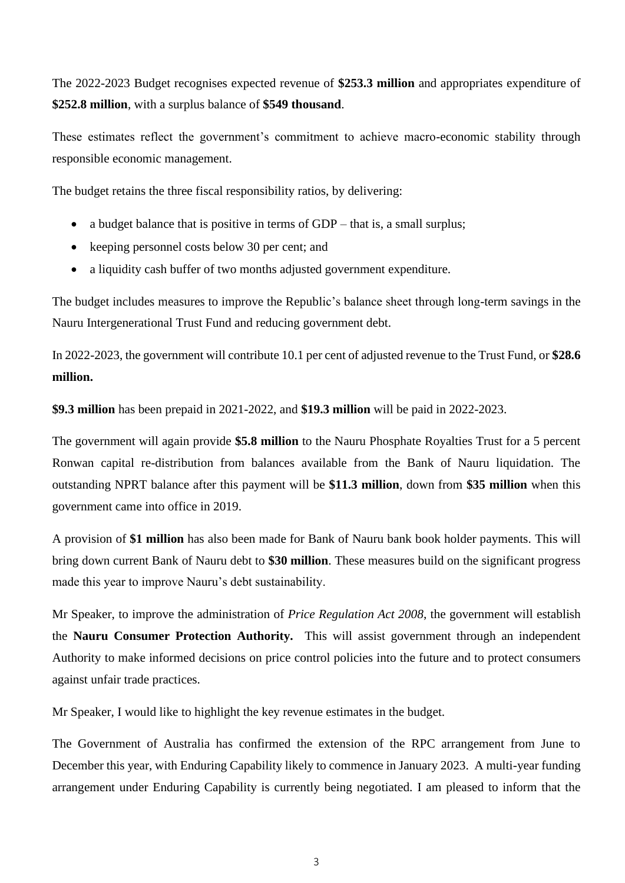The 2022-2023 Budget recognises expected revenue of **\$253.3 million** and appropriates expenditure of **\$252.8 million**, with a surplus balance of **\$549 thousand**.

These estimates reflect the government's commitment to achieve macro-economic stability through responsible economic management.

The budget retains the three fiscal responsibility ratios, by delivering:

- a budget balance that is positive in terms of GDP that is, a small surplus;
- keeping personnel costs below 30 per cent; and
- a liquidity cash buffer of two months adjusted government expenditure.

The budget includes measures to improve the Republic's balance sheet through long-term savings in the Nauru Intergenerational Trust Fund and reducing government debt.

In 2022-2023, the government will contribute 10.1 per cent of adjusted revenue to the Trust Fund, or **\$28.6 million.**

**\$9.3 million** has been prepaid in 2021-2022, and **\$19.3 million** will be paid in 2022-2023.

The government will again provide **\$5.8 million** to the Nauru Phosphate Royalties Trust for a 5 percent Ronwan capital re-distribution from balances available from the Bank of Nauru liquidation. The outstanding NPRT balance after this payment will be **\$11.3 million**, down from **\$35 million** when this government came into office in 2019.

A provision of **\$1 million** has also been made for Bank of Nauru bank book holder payments. This will bring down current Bank of Nauru debt to **\$30 million**. These measures build on the significant progress made this year to improve Nauru's debt sustainability.

Mr Speaker, to improve the administration of *Price Regulation Act 2008*, the government will establish the **Nauru Consumer Protection Authority.** This will assist government through an independent Authority to make informed decisions on price control policies into the future and to protect consumers against unfair trade practices.

Mr Speaker, I would like to highlight the key revenue estimates in the budget.

The Government of Australia has confirmed the extension of the RPC arrangement from June to December this year, with Enduring Capability likely to commence in January 2023. A multi-year funding arrangement under Enduring Capability is currently being negotiated. I am pleased to inform that the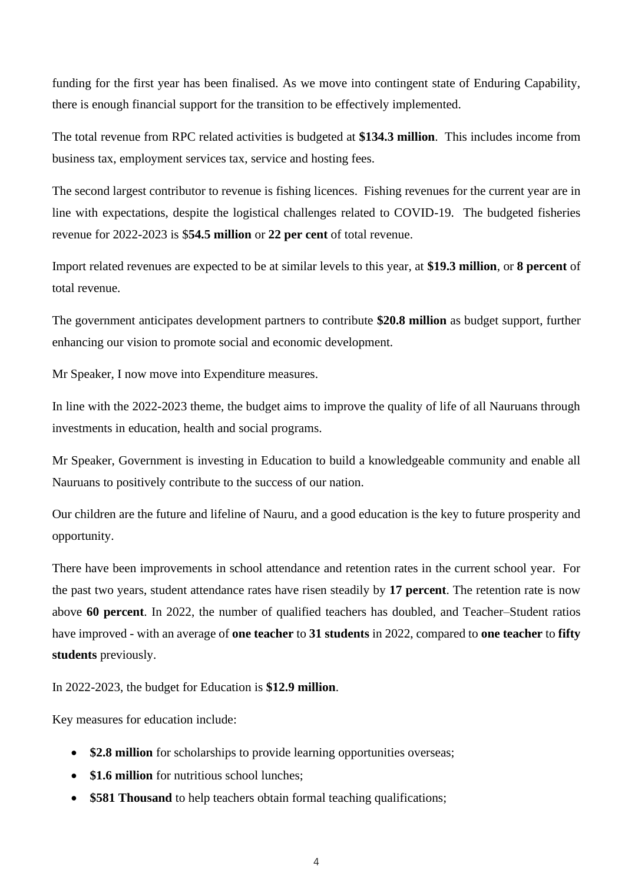funding for the first year has been finalised. As we move into contingent state of Enduring Capability, there is enough financial support for the transition to be effectively implemented.

The total revenue from RPC related activities is budgeted at **\$134.3 million**. This includes income from business tax, employment services tax, service and hosting fees.

The second largest contributor to revenue is fishing licences. Fishing revenues for the current year are in line with expectations, despite the logistical challenges related to COVID-19. The budgeted fisheries revenue for 2022-2023 is \$**54.5 million** or **22 per cent** of total revenue.

Import related revenues are expected to be at similar levels to this year, at **\$19.3 million**, or **8 percent** of total revenue.

The government anticipates development partners to contribute **\$20.8 million** as budget support, further enhancing our vision to promote social and economic development.

Mr Speaker, I now move into Expenditure measures.

In line with the 2022-2023 theme, the budget aims to improve the quality of life of all Nauruans through investments in education, health and social programs.

Mr Speaker, Government is investing in Education to build a knowledgeable community and enable all Nauruans to positively contribute to the success of our nation.

Our children are the future and lifeline of Nauru, and a good education is the key to future prosperity and opportunity.

There have been improvements in school attendance and retention rates in the current school year. For the past two years, student attendance rates have risen steadily by **17 percent**. The retention rate is now above **60 percent**. In 2022, the number of qualified teachers has doubled, and Teacher–Student ratios have improved - with an average of **one teacher** to **31 students** in 2022, compared to **one teacher** to **fifty students** previously.

In 2022-2023, the budget for Education is **\$12.9 million**.

Key measures for education include:

- **\$2.8 million** for scholarships to provide learning opportunities overseas;
- **\$1.6 million** for nutritious school lunches:
- **\$581 Thousand** to help teachers obtain formal teaching qualifications;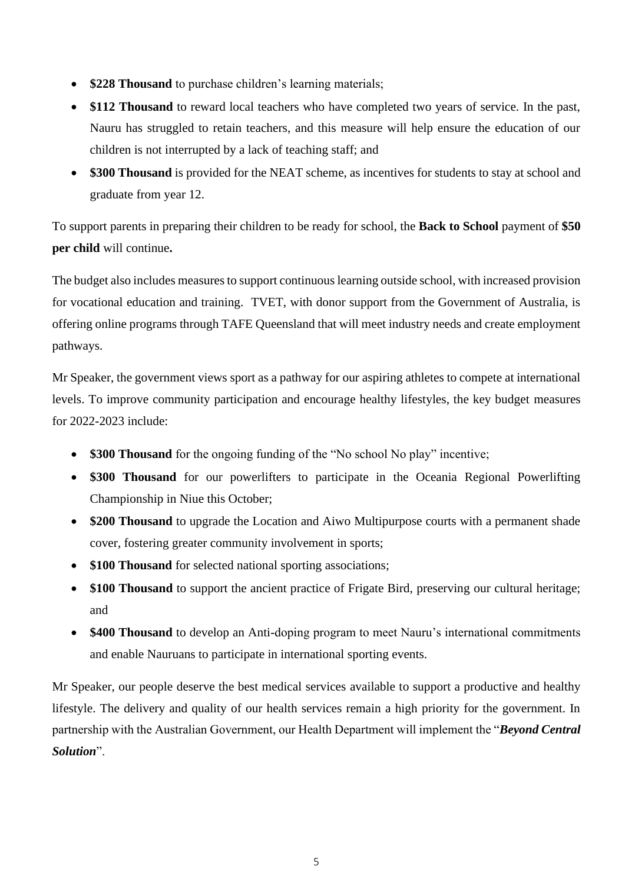- **\$228 Thousand** to purchase children's learning materials;
- \$112 Thousand to reward local teachers who have completed two years of service. In the past, Nauru has struggled to retain teachers, and this measure will help ensure the education of our children is not interrupted by a lack of teaching staff; and
- **\$300 Thousand** is provided for the NEAT scheme, as incentives for students to stay at school and graduate from year 12.

To support parents in preparing their children to be ready for school, the **Back to School** payment of **\$50 per child** will continue**.**

The budget also includes measures to support continuous learning outside school, with increased provision for vocational education and training. TVET, with donor support from the Government of Australia, is offering online programs through TAFE Queensland that will meet industry needs and create employment pathways.

Mr Speaker, the government views sport as a pathway for our aspiring athletes to compete at international levels. To improve community participation and encourage healthy lifestyles, the key budget measures for 2022-2023 include:

- **\$300 Thousand** for the ongoing funding of the "No school No play" incentive;
- **\$300 Thousand** for our powerlifters to participate in the Oceania Regional Powerlifting Championship in Niue this October;
- **\$200 Thousand** to upgrade the Location and Aiwo Multipurpose courts with a permanent shade cover, fostering greater community involvement in sports;
- **\$100 Thousand** for selected national sporting associations;
- \$100 Thousand to support the ancient practice of Frigate Bird, preserving our cultural heritage; and
- **\$400 Thousand** to develop an Anti-doping program to meet Nauru's international commitments and enable Nauruans to participate in international sporting events.

Mr Speaker, our people deserve the best medical services available to support a productive and healthy lifestyle. The delivery and quality of our health services remain a high priority for the government. In partnership with the Australian Government, our Health Department will implement the "*Beyond Central Solution*".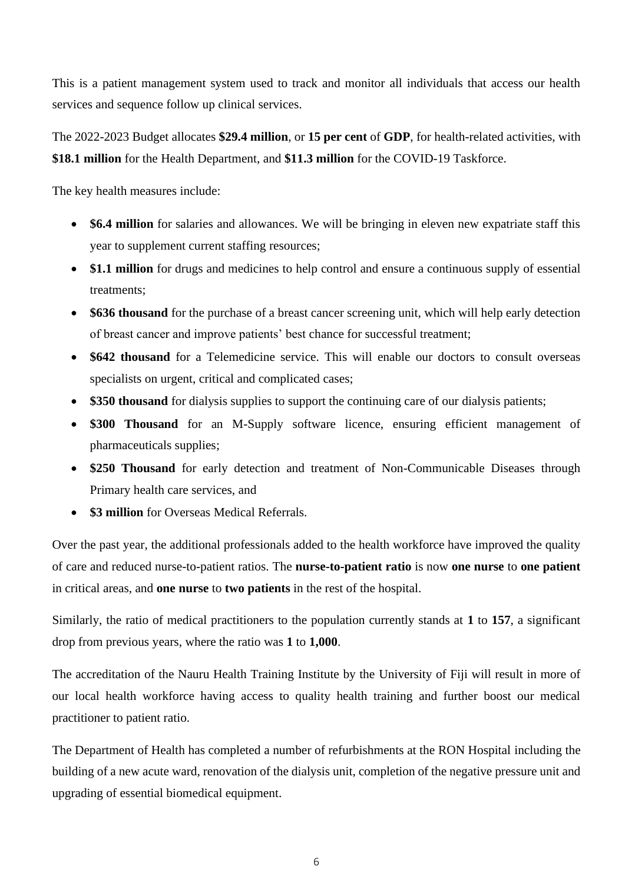This is a patient management system used to track and monitor all individuals that access our health services and sequence follow up clinical services.

The 2022-2023 Budget allocates **\$29.4 million**, or **15 per cent** of **GDP**, for health-related activities, with **\$18.1 million** for the Health Department, and **\$11.3 million** for the COVID-19 Taskforce.

The key health measures include:

- **\$6.4 million** for salaries and allowances. We will be bringing in eleven new expatriate staff this year to supplement current staffing resources;
- **\$1.1 million** for drugs and medicines to help control and ensure a continuous supply of essential treatments;
- **\$636 thousand** for the purchase of a breast cancer screening unit, which will help early detection of breast cancer and improve patients' best chance for successful treatment;
- **\$642 thousand** for a Telemedicine service. This will enable our doctors to consult overseas specialists on urgent, critical and complicated cases;
- \$350 thousand for dialysis supplies to support the continuing care of our dialysis patients;
- **\$300 Thousand** for an M-Supply software licence, ensuring efficient management of pharmaceuticals supplies;
- \$250 Thousand for early detection and treatment of Non-Communicable Diseases through Primary health care services, and
- **\$3 million** for Overseas Medical Referrals.

Over the past year, the additional professionals added to the health workforce have improved the quality of care and reduced nurse-to-patient ratios. The **nurse-to-patient ratio** is now **one nurse** to **one patient** in critical areas, and **one nurse** to **two patients** in the rest of the hospital.

Similarly, the ratio of medical practitioners to the population currently stands at **1** to **157**, a significant drop from previous years, where the ratio was **1** to **1,000**.

The accreditation of the Nauru Health Training Institute by the University of Fiji will result in more of our local health workforce having access to quality health training and further boost our medical practitioner to patient ratio.

The Department of Health has completed a number of refurbishments at the RON Hospital including the building of a new acute ward, renovation of the dialysis unit, completion of the negative pressure unit and upgrading of essential biomedical equipment.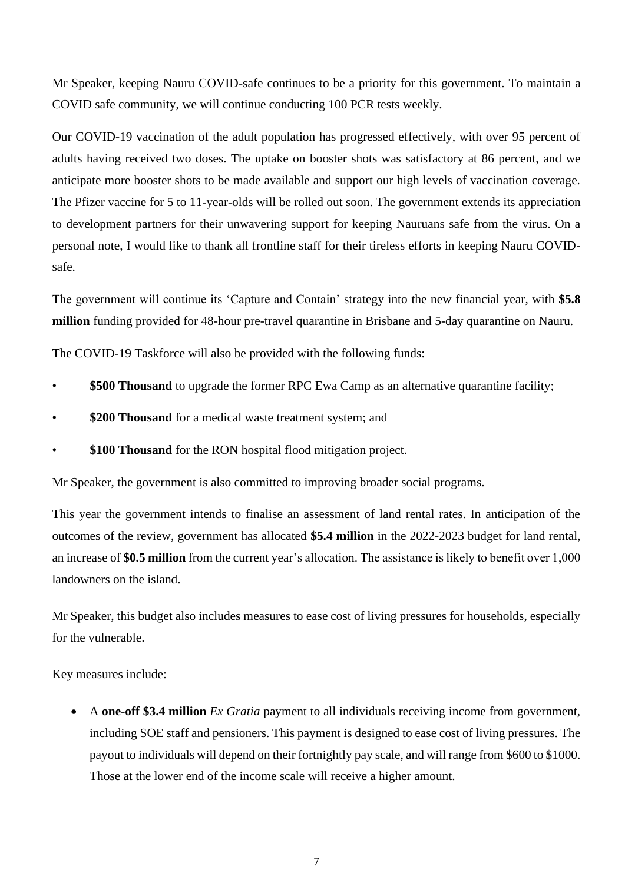Mr Speaker, keeping Nauru COVID-safe continues to be a priority for this government. To maintain a COVID safe community, we will continue conducting 100 PCR tests weekly.

Our COVID-19 vaccination of the adult population has progressed effectively, with over 95 percent of adults having received two doses. The uptake on booster shots was satisfactory at 86 percent, and we anticipate more booster shots to be made available and support our high levels of vaccination coverage. The Pfizer vaccine for 5 to 11-year-olds will be rolled out soon. The government extends its appreciation to development partners for their unwavering support for keeping Nauruans safe from the virus. On a personal note, I would like to thank all frontline staff for their tireless efforts in keeping Nauru COVIDsafe.

The government will continue its 'Capture and Contain' strategy into the new financial year, with **\$5.8 million** funding provided for 48-hour pre-travel quarantine in Brisbane and 5-day quarantine on Nauru.

The COVID-19 Taskforce will also be provided with the following funds:

- **\$500 Thousand** to upgrade the former RPC Ewa Camp as an alternative quarantine facility;
- **\$200 Thousand** for a medical waste treatment system; and
- **\$100 Thousand** for the RON hospital flood mitigation project.

Mr Speaker, the government is also committed to improving broader social programs.

This year the government intends to finalise an assessment of land rental rates. In anticipation of the outcomes of the review, government has allocated **\$5.4 million** in the 2022-2023 budget for land rental, an increase of **\$0.5 million** from the current year's allocation. The assistance is likely to benefit over 1,000 landowners on the island.

Mr Speaker, this budget also includes measures to ease cost of living pressures for households, especially for the vulnerable.

Key measures include:

• A **one-off \$3.4 million** *Ex Gratia* payment to all individuals receiving income from government, including SOE staff and pensioners. This payment is designed to ease cost of living pressures. The payout to individuals will depend on their fortnightly pay scale, and will range from \$600 to \$1000. Those at the lower end of the income scale will receive a higher amount.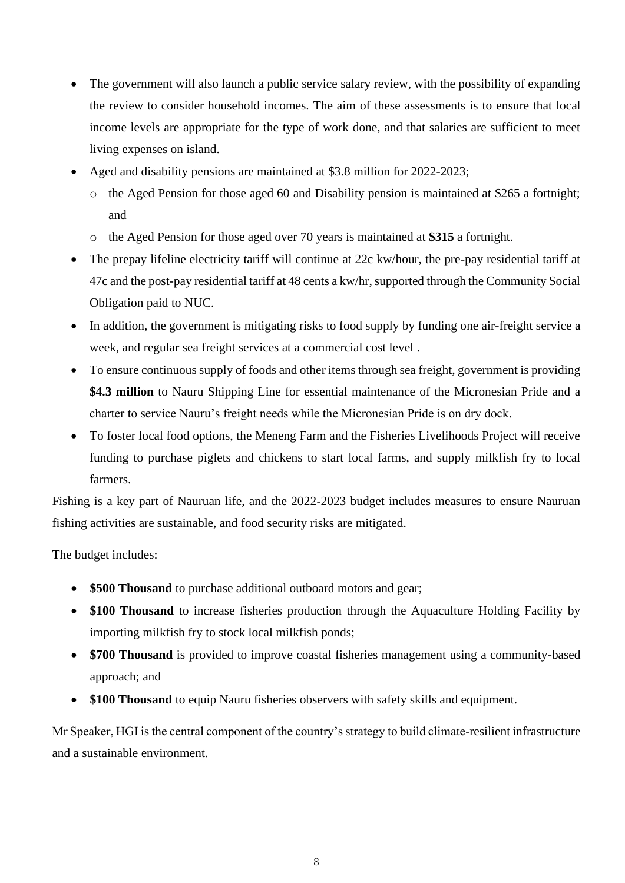- The government will also launch a public service salary review, with the possibility of expanding the review to consider household incomes. The aim of these assessments is to ensure that local income levels are appropriate for the type of work done, and that salaries are sufficient to meet living expenses on island.
- Aged and disability pensions are maintained at \$3.8 million for 2022-2023;
	- o the Aged Pension for those aged 60 and Disability pension is maintained at \$265 a fortnight; and
	- o the Aged Pension for those aged over 70 years is maintained at **\$315** a fortnight.
- The prepay lifeline electricity tariff will continue at 22c kw/hour, the pre-pay residential tariff at 47c and the post-pay residential tariff at 48 cents a kw/hr, supported through the Community Social Obligation paid to NUC.
- In addition, the government is mitigating risks to food supply by funding one air-freight service a week, and regular sea freight services at a commercial cost level .
- To ensure continuous supply of foods and other items through sea freight, government is providing **\$4.3 million** to Nauru Shipping Line for essential maintenance of the Micronesian Pride and a charter to service Nauru's freight needs while the Micronesian Pride is on dry dock.
- To foster local food options, the Meneng Farm and the Fisheries Livelihoods Project will receive funding to purchase piglets and chickens to start local farms, and supply milkfish fry to local farmers.

Fishing is a key part of Nauruan life, and the 2022-2023 budget includes measures to ensure Nauruan fishing activities are sustainable, and food security risks are mitigated.

The budget includes:

- **\$500 Thousand** to purchase additional outboard motors and gear;
- \$100 Thousand to increase fisheries production through the Aquaculture Holding Facility by importing milkfish fry to stock local milkfish ponds;
- **\$700 Thousand** is provided to improve coastal fisheries management using a community-based approach; and
- **\$100 Thousand** to equip Nauru fisheries observers with safety skills and equipment.

Mr Speaker, HGI is the central component of the country's strategy to build climate-resilient infrastructure and a sustainable environment.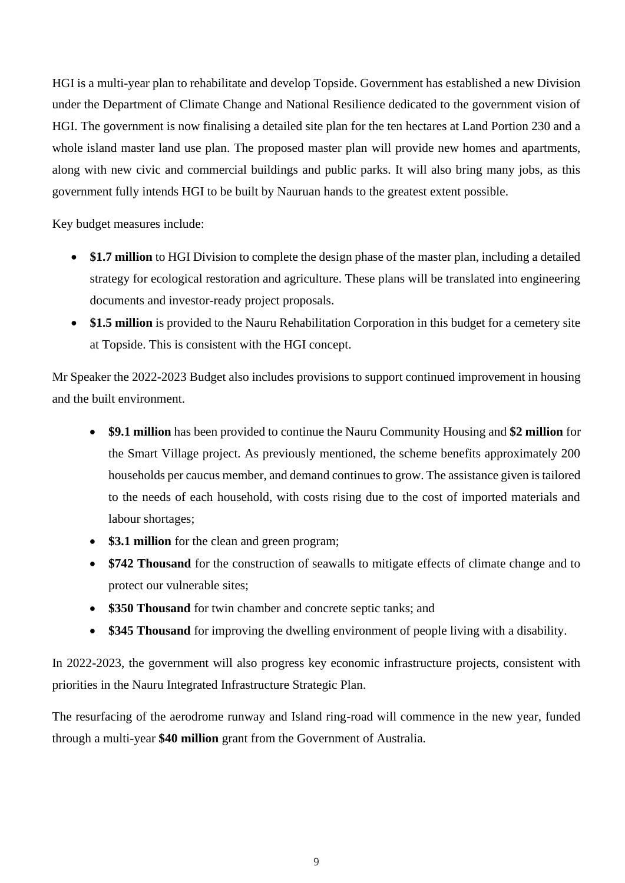HGI is a multi-year plan to rehabilitate and develop Topside. Government has established a new Division under the Department of Climate Change and National Resilience dedicated to the government vision of HGI. The government is now finalising a detailed site plan for the ten hectares at Land Portion 230 and a whole island master land use plan. The proposed master plan will provide new homes and apartments, along with new civic and commercial buildings and public parks. It will also bring many jobs, as this government fully intends HGI to be built by Nauruan hands to the greatest extent possible.

Key budget measures include:

- **\$1.7 million** to HGI Division to complete the design phase of the master plan, including a detailed strategy for ecological restoration and agriculture. These plans will be translated into engineering documents and investor-ready project proposals.
- \$1.5 million is provided to the Nauru Rehabilitation Corporation in this budget for a cemetery site at Topside. This is consistent with the HGI concept.

Mr Speaker the 2022-2023 Budget also includes provisions to support continued improvement in housing and the built environment.

- **\$9.1 million** has been provided to continue the Nauru Community Housing and **\$2 million** for the Smart Village project. As previously mentioned, the scheme benefits approximately 200 households per caucus member, and demand continues to grow. The assistance given is tailored to the needs of each household, with costs rising due to the cost of imported materials and labour shortages;
- **\$3.1 million** for the clean and green program;
- **\$742 Thousand** for the construction of seawalls to mitigate effects of climate change and to protect our vulnerable sites;
- **\$350 Thousand** for twin chamber and concrete septic tanks; and
- **\$345 Thousand** for improving the dwelling environment of people living with a disability.

In 2022-2023, the government will also progress key economic infrastructure projects, consistent with priorities in the Nauru Integrated Infrastructure Strategic Plan.

The resurfacing of the aerodrome runway and Island ring-road will commence in the new year, funded through a multi-year **\$40 million** grant from the Government of Australia.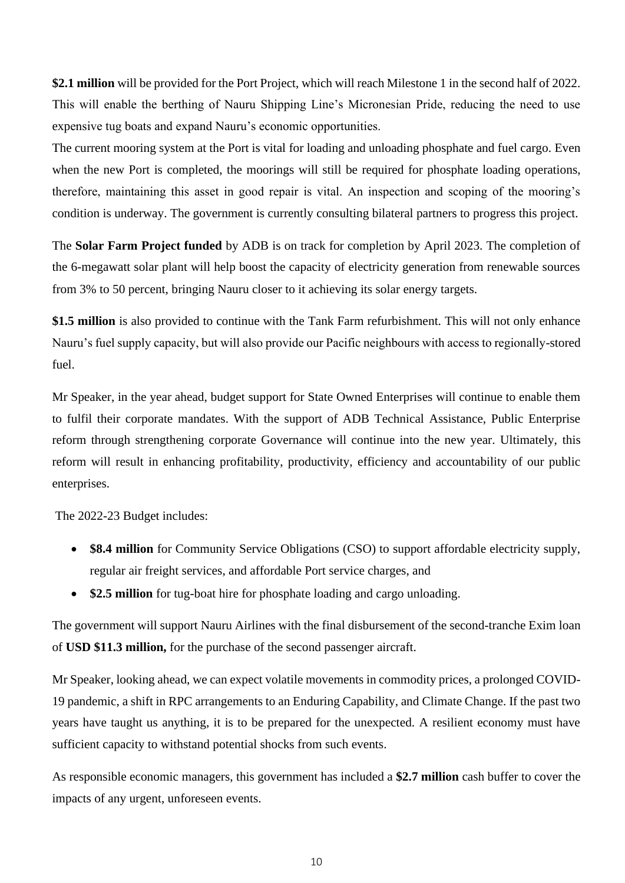**\$2.1 million** will be provided for the Port Project, which will reach Milestone 1 in the second half of 2022. This will enable the berthing of Nauru Shipping Line's Micronesian Pride, reducing the need to use expensive tug boats and expand Nauru's economic opportunities.

The current mooring system at the Port is vital for loading and unloading phosphate and fuel cargo. Even when the new Port is completed, the moorings will still be required for phosphate loading operations, therefore, maintaining this asset in good repair is vital. An inspection and scoping of the mooring's condition is underway. The government is currently consulting bilateral partners to progress this project.

The **Solar Farm Project funded** by ADB is on track for completion by April 2023. The completion of the 6-megawatt solar plant will help boost the capacity of electricity generation from renewable sources from 3% to 50 percent, bringing Nauru closer to it achieving its solar energy targets.

**\$1.5 million** is also provided to continue with the Tank Farm refurbishment. This will not only enhance Nauru's fuel supply capacity, but will also provide our Pacific neighbours with access to regionally-stored fuel.

Mr Speaker, in the year ahead, budget support for State Owned Enterprises will continue to enable them to fulfil their corporate mandates. With the support of ADB Technical Assistance, Public Enterprise reform through strengthening corporate Governance will continue into the new year. Ultimately, this reform will result in enhancing profitability, productivity, efficiency and accountability of our public enterprises.

The 2022-23 Budget includes:

- **\$8.4 million** for Community Service Obligations (CSO) to support affordable electricity supply, regular air freight services, and affordable Port service charges, and
- **\$2.5 million** for tug-boat hire for phosphate loading and cargo unloading.

The government will support Nauru Airlines with the final disbursement of the second-tranche Exim loan of **USD \$11.3 million,** for the purchase of the second passenger aircraft.

Mr Speaker, looking ahead, we can expect volatile movements in commodity prices, a prolonged COVID-19 pandemic, a shift in RPC arrangements to an Enduring Capability, and Climate Change. If the past two years have taught us anything, it is to be prepared for the unexpected. A resilient economy must have sufficient capacity to withstand potential shocks from such events.

As responsible economic managers, this government has included a **\$2.7 million** cash buffer to cover the impacts of any urgent, unforeseen events.